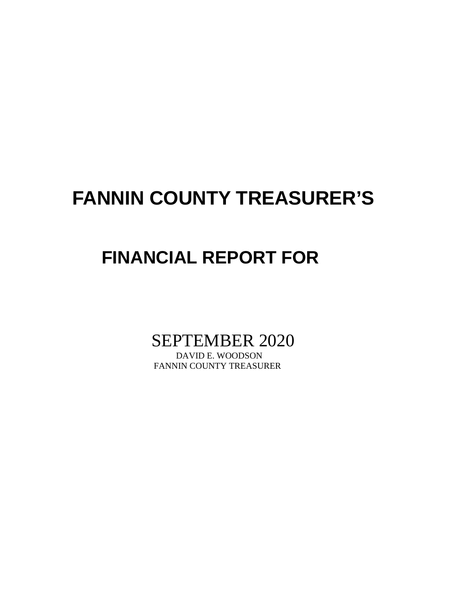# **FANNIN COUNTY TREASURER'S**

## **FINANCIAL REPORT FOR**

SEPTEMBER 2020

FANNIN COUNTY TREASURER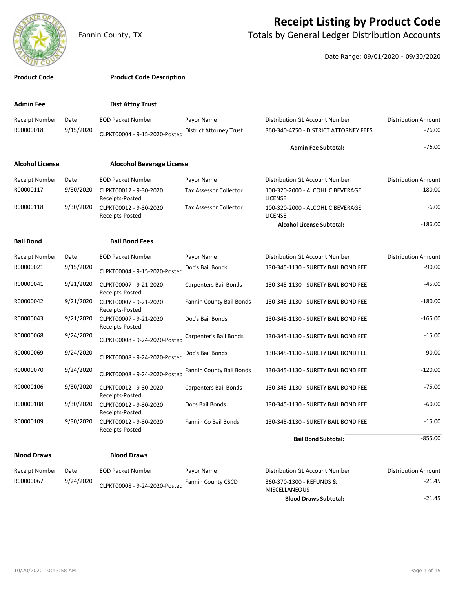

#### **Receipt Listing by Product Code**

Fannin County, TX **The County of Totals by General Ledger Distribution Accounts** 

Date Range: 09/01/2020 - 09/30/2020

| <b>Product Code</b>                |           | <b>Product Code Description</b>           |                                             |                                                    |                            |
|------------------------------------|-----------|-------------------------------------------|---------------------------------------------|----------------------------------------------------|----------------------------|
| <b>Admin Fee</b>                   |           | <b>Dist Attny Trust</b>                   |                                             |                                                    |                            |
| <b>Receipt Number</b>              | Date      | <b>EOD Packet Number</b>                  | Payor Name                                  | Distribution GL Account Number                     | <b>Distribution Amount</b> |
| R00000018                          | 9/15/2020 | CLPKT00004 - 9-15-2020-Posted             | <b>District Attorney Trust</b>              | 360-340-4750 - DISTRICT ATTORNEY FEES              | $-76.00$                   |
|                                    |           |                                           |                                             | <b>Admin Fee Subtotal:</b>                         | $-76.00$                   |
| <b>Alcohol License</b>             |           | <b>Alocohol Beverage License</b>          |                                             |                                                    |                            |
|                                    | Date      | <b>EOD Packet Number</b>                  |                                             | Distribution GL Account Number                     | <b>Distribution Amount</b> |
| <b>Receipt Number</b><br>R00000117 | 9/30/2020 | CLPKT00012 - 9-30-2020                    | Payor Name<br><b>Tax Assessor Collector</b> | 100-320-2000 - ALCOHLIC BEVERAGE                   | $-180.00$                  |
|                                    |           | Receipts-Posted                           |                                             | <b>LICENSE</b>                                     |                            |
| R00000118                          | 9/30/2020 | CLPKT00012 - 9-30-2020<br>Receipts-Posted | <b>Tax Assessor Collector</b>               | 100-320-2000 - ALCOHLIC BEVERAGE<br><b>LICENSE</b> | -6.00                      |
|                                    |           |                                           |                                             | <b>Alcohol License Subtotal:</b>                   | $-186.00$                  |
| <b>Bail Bond</b>                   |           | <b>Bail Bond Fees</b>                     |                                             |                                                    |                            |
| Receipt Number                     | Date      | <b>EOD Packet Number</b>                  | Payor Name                                  | Distribution GL Account Number                     | <b>Distribution Amount</b> |
| R00000021                          | 9/15/2020 | CLPKT00004 - 9-15-2020-Posted             | Doc's Bail Bonds                            | 130-345-1130 - SURETY BAIL BOND FEE                | $-90.00$                   |
| R00000041                          | 9/21/2020 | CLPKT00007 - 9-21-2020<br>Receipts-Posted | Carpenters Bail Bonds                       | 130-345-1130 - SURETY BAIL BOND FEE                | $-45.00$                   |
| R00000042                          | 9/21/2020 | CLPKT00007 - 9-21-2020<br>Receipts-Posted | Fannin County Bail Bonds                    | 130-345-1130 - SURETY BAIL BOND FEE                | $-180.00$                  |
| R00000043                          | 9/21/2020 | CLPKT00007 - 9-21-2020<br>Receipts-Posted | Doc's Bail Bonds                            | 130-345-1130 - SURETY BAIL BOND FEE                | $-165.00$                  |
| R00000068                          | 9/24/2020 | CLPKT00008 - 9-24-2020-Posted             | Carpenter's Bail Bonds                      | 130-345-1130 - SURETY BAIL BOND FEE                | $-15.00$                   |
| R00000069                          | 9/24/2020 | CLPKT00008 - 9-24-2020-Posted             | Doc's Bail Bonds                            | 130-345-1130 - SURETY BAIL BOND FEE                | $-90.00$                   |
| R00000070                          | 9/24/2020 | CLPKT00008 - 9-24-2020-Posted             | Fannin County Bail Bonds                    | 130-345-1130 - SURETY BAIL BOND FEE                | $-120.00$                  |
| R00000106                          | 9/30/2020 | CLPKT00012 - 9-30-2020<br>Receipts-Posted | <b>Carpenters Bail Bonds</b>                | 130-345-1130 - SURETY BAIL BOND FEE                | $-75.00$                   |
| R00000108                          | 9/30/2020 | CLPKT00012 - 9-30-2020<br>Receipts-Posted | Docs Bail Bonds                             | 130-345-1130 - SURETY BAIL BOND FEE                | $-60.00$                   |
| R00000109                          | 9/30/2020 | CLPKT00012 - 9-30-2020<br>Receipts-Posted | Fannin Co Bail Bonds                        | 130-345-1130 - SURETY BAIL BOND FEE                | $-15.00$                   |
|                                    |           |                                           |                                             | <b>Bail Bond Subtotal:</b>                         | $-855.00$                  |
| <b>Blood Draws</b>                 |           | <b>Blood Draws</b>                        |                                             |                                                    |                            |
| Receipt Number                     | Date      | <b>EOD Packet Number</b>                  | Payor Name                                  | Distribution GL Account Number                     | <b>Distribution Amount</b> |
| R00000067                          | 9/24/2020 | CLPKT00008 - 9-24-2020-Posted             | <b>Fannin County CSCD</b>                   | 360-370-1300 - REFUNDS &<br><b>MISCELLANEOUS</b>   | $-21.45$                   |

**Blood Draws Subtotal:**  $-21.45$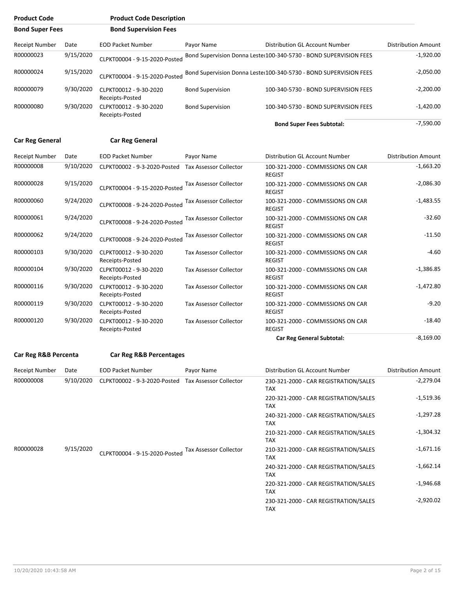| <b>Product Code</b><br><b>Bond Super Fees</b> |           | <b>Product Code Description</b>           |                               |                                                                    |                            |
|-----------------------------------------------|-----------|-------------------------------------------|-------------------------------|--------------------------------------------------------------------|----------------------------|
|                                               |           | <b>Bond Supervision Fees</b>              |                               |                                                                    |                            |
| <b>Receipt Number</b>                         | Date      | <b>EOD Packet Number</b>                  | Payor Name                    | Distribution GL Account Number                                     | <b>Distribution Amount</b> |
| R00000023                                     | 9/15/2020 | CLPKT00004 - 9-15-2020-Posted             |                               | Bond Supervision Donna Lester100-340-5730 - BOND SUPERVISION FEES  | $-1,920.00$                |
| R00000024                                     | 9/15/2020 | CLPKT00004 - 9-15-2020-Posted             |                               | Bond Supervision Donna Lester 100-340-5730 - BOND SUPERVISION FEES | $-2,050.00$                |
| R00000079                                     | 9/30/2020 | CLPKT00012 - 9-30-2020<br>Receipts-Posted | <b>Bond Supervision</b>       | 100-340-5730 - BOND SUPERVISION FEES                               | $-2,200.00$                |
| R00000080                                     | 9/30/2020 | CLPKT00012 - 9-30-2020<br>Receipts-Posted | <b>Bond Supervision</b>       | 100-340-5730 - BOND SUPERVISION FEES                               | $-1,420.00$                |
|                                               |           |                                           |                               | <b>Bond Super Fees Subtotal:</b>                                   | $-7,590.00$                |
| <b>Car Reg General</b>                        |           | <b>Car Reg General</b>                    |                               |                                                                    |                            |
| Receipt Number                                | Date      | <b>EOD Packet Number</b>                  | Payor Name                    | Distribution GL Account Number                                     | <b>Distribution Amount</b> |
| R00000008                                     | 9/10/2020 | CLPKT00002 - 9-3-2020-Posted              | <b>Tax Assessor Collector</b> | 100-321-2000 - COMMISSIONS ON CAR<br><b>REGIST</b>                 | $-1,663.20$                |
| R00000028                                     | 9/15/2020 | CLPKT00004 - 9-15-2020-Posted             | Tax Assessor Collector        | 100-321-2000 - COMMISSIONS ON CAR<br><b>REGIST</b>                 | $-2,086.30$                |

|           |           |                                           |                               | <b>Car Reg General Subtotal:</b>                   | $-8,169.00$ |
|-----------|-----------|-------------------------------------------|-------------------------------|----------------------------------------------------|-------------|
| R00000120 | 9/30/2020 | CLPKT00012 - 9-30-2020<br>Receipts-Posted | Tax Assessor Collector        | 100-321-2000 - COMMISSIONS ON CAR<br><b>REGIST</b> | $-18.40$    |
| R00000119 | 9/30/2020 | CLPKT00012 - 9-30-2020<br>Receipts-Posted | <b>Tax Assessor Collector</b> | 100-321-2000 - COMMISSIONS ON CAR<br><b>REGIST</b> | $-9.20$     |
| R00000116 | 9/30/2020 | CLPKT00012 - 9-30-2020<br>Receipts-Posted | <b>Tax Assessor Collector</b> | 100-321-2000 - COMMISSIONS ON CAR<br><b>REGIST</b> | $-1,472.80$ |
| R00000104 | 9/30/2020 | CLPKT00012 - 9-30-2020<br>Receipts-Posted | <b>Tax Assessor Collector</b> | 100-321-2000 - COMMISSIONS ON CAR<br><b>REGIST</b> | $-1,386.85$ |
| R00000103 | 9/30/2020 | CLPKT00012 - 9-30-2020<br>Receipts-Posted | <b>Tax Assessor Collector</b> | 100-321-2000 - COMMISSIONS ON CAR<br><b>REGIST</b> | $-4.60$     |
| R00000062 | 9/24/2020 | CLPKT00008 - 9-24-2020-Posted             | Tax Assessor Collector        | 100-321-2000 - COMMISSIONS ON CAR<br><b>REGIST</b> | $-11.50$    |
| R00000061 | 9/24/2020 | CLPKT00008 - 9-24-2020-Posted             | <b>Tax Assessor Collector</b> | 100-321-2000 - COMMISSIONS ON CAR<br><b>REGIST</b> | $-32.60$    |
| R00000060 | 9/24/2020 | CLPKT00008 - 9-24-2020-Posted             | <b>Tax Assessor Collector</b> | 100-321-2000 - COMMISSIONS ON CAR<br><b>REGIST</b> | $-1,483.55$ |
|           |           |                                           |                               | REGIST                                             |             |

#### **Car Reg R&B Percenta Car Reg R&B Percentages**

| Receipt Number | Date      | <b>EOD Packet Number</b>      | Payor Name                    | Distribution GL Account Number                      | <b>Distribution Amount</b> |
|----------------|-----------|-------------------------------|-------------------------------|-----------------------------------------------------|----------------------------|
| R00000008      | 9/10/2020 | CLPKT00002 - 9-3-2020-Posted  | <b>Tax Assessor Collector</b> | 230-321-2000 - CAR REGISTRATION/SALES<br><b>TAX</b> | $-2,279.04$                |
|                |           |                               |                               | 220-321-2000 - CAR REGISTRATION/SALES<br><b>TAX</b> | $-1,519.36$                |
|                |           |                               |                               | 240-321-2000 - CAR REGISTRATION/SALES<br><b>TAX</b> | $-1,297.28$                |
|                |           |                               |                               | 210-321-2000 - CAR REGISTRATION/SALES<br><b>TAX</b> | -1,304.32                  |
| R00000028      | 9/15/2020 | CLPKT00004 - 9-15-2020-Posted | <b>Tax Assessor Collector</b> | 210-321-2000 - CAR REGISTRATION/SALES<br><b>TAX</b> | $-1,671.16$                |
|                |           |                               |                               | 240-321-2000 - CAR REGISTRATION/SALES<br><b>TAX</b> | $-1,662.14$                |
|                |           |                               |                               | 220-321-2000 - CAR REGISTRATION/SALES<br><b>TAX</b> | $-1,946.68$                |
|                |           |                               |                               | 230-321-2000 - CAR REGISTRATION/SALES<br><b>TAX</b> | $-2,920.02$                |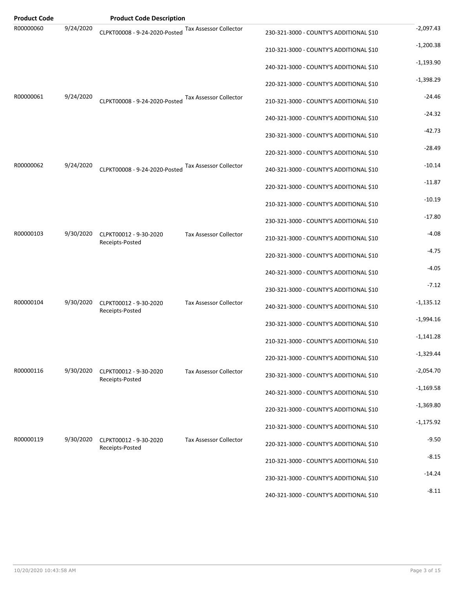| <b>Product Code</b> |           | <b>Product Code Description</b>           |                               |                                         |             |
|---------------------|-----------|-------------------------------------------|-------------------------------|-----------------------------------------|-------------|
| R00000060           | 9/24/2020 | CLPKT00008 - 9-24-2020-Posted             | Tax Assessor Collector        | 230-321-3000 - COUNTY'S ADDITIONAL \$10 | $-2,097.43$ |
|                     |           |                                           |                               | 210-321-3000 - COUNTY'S ADDITIONAL \$10 | $-1,200.38$ |
|                     |           |                                           |                               | 240-321-3000 - COUNTY'S ADDITIONAL \$10 | $-1,193.90$ |
|                     |           |                                           |                               | 220-321-3000 - COUNTY'S ADDITIONAL \$10 | $-1,398.29$ |
| R00000061           | 9/24/2020 | CLPKT00008 - 9-24-2020-Posted             | <b>Tax Assessor Collector</b> | 210-321-3000 - COUNTY'S ADDITIONAL \$10 | $-24.46$    |
|                     |           |                                           |                               | 240-321-3000 - COUNTY'S ADDITIONAL \$10 | $-24.32$    |
|                     |           |                                           |                               | 230-321-3000 - COUNTY'S ADDITIONAL \$10 | $-42.73$    |
|                     |           |                                           |                               | 220-321-3000 - COUNTY'S ADDITIONAL \$10 | $-28.49$    |
| R00000062           | 9/24/2020 | CLPKT00008 - 9-24-2020-Posted             | Tax Assessor Collector        | 240-321-3000 - COUNTY'S ADDITIONAL \$10 | $-10.14$    |
|                     |           |                                           |                               | 220-321-3000 - COUNTY'S ADDITIONAL \$10 | $-11.87$    |
|                     |           |                                           |                               | 210-321-3000 - COUNTY'S ADDITIONAL \$10 | $-10.19$    |
|                     |           |                                           |                               | 230-321-3000 - COUNTY'S ADDITIONAL \$10 | $-17.80$    |
| R00000103           | 9/30/2020 | CLPKT00012 - 9-30-2020<br>Receipts-Posted | <b>Tax Assessor Collector</b> | 210-321-3000 - COUNTY'S ADDITIONAL \$10 | $-4.08$     |
|                     |           |                                           |                               | 220-321-3000 - COUNTY'S ADDITIONAL \$10 | $-4.75$     |
|                     |           |                                           |                               | 240-321-3000 - COUNTY'S ADDITIONAL \$10 | $-4.05$     |
|                     |           |                                           |                               | 230-321-3000 - COUNTY'S ADDITIONAL \$10 | $-7.12$     |
| R00000104           | 9/30/2020 | CLPKT00012 - 9-30-2020<br>Receipts-Posted | <b>Tax Assessor Collector</b> | 240-321-3000 - COUNTY'S ADDITIONAL \$10 | $-1,135.12$ |
|                     |           |                                           |                               | 230-321-3000 - COUNTY'S ADDITIONAL \$10 | $-1,994.16$ |
|                     |           |                                           |                               | 210-321-3000 - COUNTY'S ADDITIONAL \$10 | $-1,141.28$ |
|                     |           |                                           |                               | 220-321-3000 - COUNTY'S ADDITIONAL \$10 | $-1,329.44$ |
| R00000116           | 9/30/2020 | CLPKT00012 - 9-30-2020                    | <b>Tax Assessor Collector</b> | 230-321-3000 - COUNTY'S ADDITIONAL \$10 | $-2,054.70$ |
|                     |           | Receipts-Posted                           |                               | 240-321-3000 - COUNTY'S ADDITIONAL \$10 | $-1,169.58$ |
|                     |           |                                           |                               | 220-321-3000 - COUNTY'S ADDITIONAL \$10 | $-1,369.80$ |
|                     |           |                                           |                               | 210-321-3000 - COUNTY'S ADDITIONAL \$10 | $-1,175.92$ |
| R00000119           | 9/30/2020 | CLPKT00012 - 9-30-2020                    | <b>Tax Assessor Collector</b> | 220-321-3000 - COUNTY'S ADDITIONAL \$10 | $-9.50$     |
|                     |           | Receipts-Posted                           |                               | 210-321-3000 - COUNTY'S ADDITIONAL \$10 | $-8.15$     |
|                     |           |                                           |                               | 230-321-3000 - COUNTY'S ADDITIONAL \$10 | $-14.24$    |
|                     |           |                                           |                               | 240-321-3000 - COUNTY'S ADDITIONAL \$10 | $-8.11$     |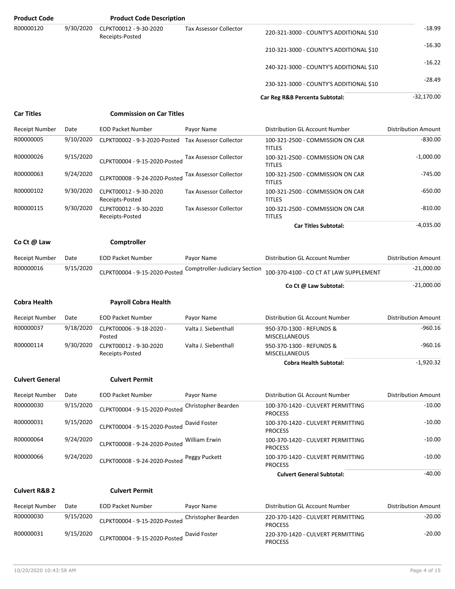| <b>Product Code</b>      |           | <b>Product Code Description</b>           |                                      |                                                     |                            |
|--------------------------|-----------|-------------------------------------------|--------------------------------------|-----------------------------------------------------|----------------------------|
| R00000120                | 9/30/2020 | CLPKT00012 - 9-30-2020<br>Receipts-Posted | <b>Tax Assessor Collector</b>        | 220-321-3000 - COUNTY'S ADDITIONAL \$10             | $-18.99$                   |
|                          |           |                                           |                                      | 210-321-3000 - COUNTY'S ADDITIONAL \$10             | $-16.30$                   |
|                          |           |                                           |                                      | 240-321-3000 - COUNTY'S ADDITIONAL \$10             | $-16.22$                   |
|                          |           |                                           |                                      | 230-321-3000 - COUNTY'S ADDITIONAL \$10             | $-28.49$                   |
|                          |           |                                           |                                      | Car Reg R&B Percenta Subtotal:                      | $-32,170.00$               |
| <b>Car Titles</b>        |           | <b>Commission on Car Titles</b>           |                                      |                                                     |                            |
| <b>Receipt Number</b>    | Date      | <b>EOD Packet Number</b>                  | Payor Name                           | Distribution GL Account Number                      | <b>Distribution Amount</b> |
| R00000005                | 9/10/2020 | CLPKT00002 - 9-3-2020-Posted              | <b>Tax Assessor Collector</b>        | 100-321-2500 - COMMISSION ON CAR<br><b>TITLES</b>   | $-830.00$                  |
| R00000026                | 9/15/2020 | CLPKT00004 - 9-15-2020-Posted             | <b>Tax Assessor Collector</b>        | 100-321-2500 - COMMISSION ON CAR<br><b>TITLES</b>   | $-1,000.00$                |
| R00000063                | 9/24/2020 | CLPKT00008 - 9-24-2020-Posted             | <b>Tax Assessor Collector</b>        | 100-321-2500 - COMMISSION ON CAR<br><b>TITLES</b>   | $-745.00$                  |
| R00000102                | 9/30/2020 | CLPKT00012 - 9-30-2020<br>Receipts-Posted | <b>Tax Assessor Collector</b>        | 100-321-2500 - COMMISSION ON CAR<br><b>TITLES</b>   | $-650.00$                  |
| R00000115                | 9/30/2020 | CLPKT00012 - 9-30-2020<br>Receipts-Posted | <b>Tax Assessor Collector</b>        | 100-321-2500 - COMMISSION ON CAR<br><b>TITLES</b>   | $-810.00$                  |
|                          |           |                                           |                                      | <b>Car Titles Subtotal:</b>                         | $-4,035.00$                |
| Co Ct @ Law              |           | Comptroller                               |                                      |                                                     |                            |
| <b>Receipt Number</b>    | Date      | <b>EOD Packet Number</b>                  | Payor Name                           | Distribution GL Account Number                      | <b>Distribution Amount</b> |
| R00000016                | 9/15/2020 | CLPKT00004 - 9-15-2020-Posted             | <b>Comptroller-Judiciary Section</b> | 100-370-4100 - CO CT AT LAW SUPPLEMENT              | $-21,000.00$               |
|                          |           |                                           |                                      |                                                     |                            |
|                          |           |                                           |                                      | Co Ct @ Law Subtotal:                               | $-21,000.00$               |
| <b>Cobra Health</b>      |           | <b>Payroll Cobra Health</b>               |                                      |                                                     |                            |
| <b>Receipt Number</b>    | Date      | <b>EOD Packet Number</b>                  | Payor Name                           | Distribution GL Account Number                      | <b>Distribution Amount</b> |
| R00000037                | 9/18/2020 | CLPKT00006 - 9-18-2020 -<br>Posted        | Valta J. Siebenthall                 | 950-370-1300 - REFUNDS &<br><b>MISCELLANEOUS</b>    | $-960.16$                  |
| R00000114                | 9/30/2020 | CLPKT00012 - 9-30-2020<br>Receipts-Posted | Valta J. Siebenthall                 | 950-370-1300 - REFUNDS &<br>MISCELLANEOUS           | $-960.16$                  |
|                          |           |                                           |                                      | <b>Cobra Health Subtotal:</b>                       | $-1,920.32$                |
| <b>Culvert General</b>   |           | <b>Culvert Permit</b>                     |                                      |                                                     |                            |
| <b>Receipt Number</b>    | Date      | <b>EOD Packet Number</b>                  | Payor Name                           | Distribution GL Account Number                      | <b>Distribution Amount</b> |
| R00000030                | 9/15/2020 | CLPKT00004 - 9-15-2020-Posted             | Christopher Bearden                  | 100-370-1420 - CULVERT PERMITTING<br><b>PROCESS</b> | $-10.00$                   |
| R00000031                | 9/15/2020 | CLPKT00004 - 9-15-2020-Posted             | David Foster                         | 100-370-1420 - CULVERT PERMITTING<br><b>PROCESS</b> | $-10.00$                   |
| R00000064                | 9/24/2020 | CLPKT00008 - 9-24-2020-Posted             | William Erwin                        | 100-370-1420 - CULVERT PERMITTING<br><b>PROCESS</b> | $-10.00$                   |
| R00000066                | 9/24/2020 | CLPKT00008 - 9-24-2020-Posted             | Peggy Puckett                        | 100-370-1420 - CULVERT PERMITTING<br><b>PROCESS</b> | $-10.00$                   |
|                          |           |                                           |                                      | <b>Culvert General Subtotal:</b>                    | $-40.00$                   |
| <b>Culvert R&amp;B 2</b> |           | <b>Culvert Permit</b>                     |                                      |                                                     |                            |
| <b>Receipt Number</b>    | Date      | <b>EOD Packet Number</b>                  | Payor Name                           | Distribution GL Account Number                      | <b>Distribution Amount</b> |
| R00000030                | 9/15/2020 | CLPKT00004 - 9-15-2020-Posted             | Christopher Bearden                  | 220-370-1420 - CULVERT PERMITTING<br><b>PROCESS</b> | $-20.00$                   |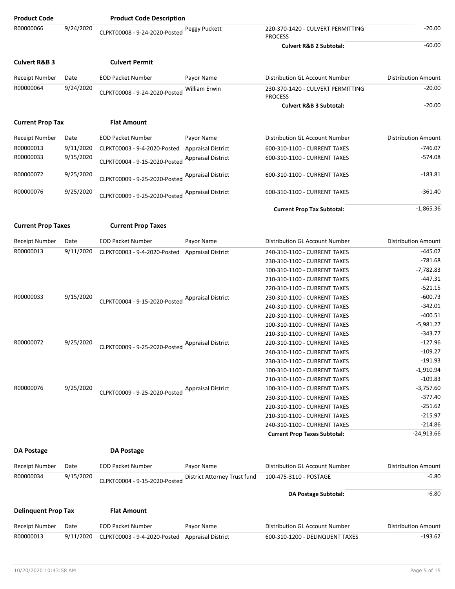| <b>Product Code</b>                |                   | <b>Product Code Description</b> |                                            |                                                          |                                       |
|------------------------------------|-------------------|---------------------------------|--------------------------------------------|----------------------------------------------------------|---------------------------------------|
| R00000066                          | 9/24/2020         | CLPKT00008 - 9-24-2020-Posted   | Peggy Puckett                              | 220-370-1420 - CULVERT PERMITTING<br><b>PROCESS</b>      | $-20.00$                              |
|                                    |                   |                                 |                                            | <b>Culvert R&amp;B 2 Subtotal:</b>                       | $-60.00$                              |
| <b>Culvert R&amp;B 3</b>           |                   | <b>Culvert Permit</b>           |                                            |                                                          |                                       |
| <b>Receipt Number</b>              | Date              | <b>EOD Packet Number</b>        | Payor Name                                 | Distribution GL Account Number                           | <b>Distribution Amount</b>            |
| R00000064                          | 9/24/2020         | CLPKT00008 - 9-24-2020-Posted   | <b>William Erwin</b>                       | 230-370-1420 - CULVERT PERMITTING<br><b>PROCESS</b>      | $-20.00$                              |
|                                    |                   |                                 |                                            | <b>Culvert R&amp;B 3 Subtotal:</b>                       | $-20.00$                              |
| <b>Current Prop Tax</b>            |                   | <b>Flat Amount</b>              |                                            |                                                          |                                       |
| <b>Receipt Number</b>              | Date              | <b>EOD Packet Number</b>        | Payor Name                                 | Distribution GL Account Number                           | <b>Distribution Amount</b>            |
| R00000013                          | 9/11/2020         | CLPKT00003 - 9-4-2020-Posted    | <b>Appraisal District</b>                  | 600-310-1100 - CURRENT TAXES                             | $-746.07$                             |
| R00000033                          | 9/15/2020         | CLPKT00004 - 9-15-2020-Posted   | <b>Appraisal District</b>                  | 600-310-1100 - CURRENT TAXES                             | $-574.08$                             |
| R00000072                          | 9/25/2020         | CLPKT00009 - 9-25-2020-Posted   | <b>Appraisal District</b>                  | 600-310-1100 - CURRENT TAXES                             | $-183.81$                             |
| R00000076                          | 9/25/2020         | CLPKT00009 - 9-25-2020-Posted   | <b>Appraisal District</b>                  | 600-310-1100 - CURRENT TAXES                             | $-361.40$                             |
|                                    |                   |                                 |                                            | <b>Current Prop Tax Subtotal:</b>                        | $-1,865.36$                           |
| <b>Current Prop Taxes</b>          |                   | <b>Current Prop Taxes</b>       |                                            |                                                          |                                       |
| <b>Receipt Number</b>              | Date              | <b>EOD Packet Number</b>        | Payor Name                                 | Distribution GL Account Number                           | <b>Distribution Amount</b>            |
| R00000013                          | 9/11/2020         | CLPKT00003 - 9-4-2020-Posted    | <b>Appraisal District</b>                  | 240-310-1100 - CURRENT TAXES                             | $-445.02$                             |
|                                    |                   |                                 |                                            | 230-310-1100 - CURRENT TAXES                             | $-781.68$                             |
|                                    |                   |                                 |                                            | 100-310-1100 - CURRENT TAXES                             | $-7,782.83$                           |
|                                    |                   |                                 |                                            | 210-310-1100 - CURRENT TAXES                             | $-447.31$                             |
|                                    |                   |                                 |                                            | 220-310-1100 - CURRENT TAXES                             | $-521.15$                             |
| R00000033                          | 9/15/2020         |                                 | <b>Appraisal District</b>                  | 230-310-1100 - CURRENT TAXES                             | $-600.73$                             |
|                                    |                   | CLPKT00004 - 9-15-2020-Posted   |                                            | 240-310-1100 - CURRENT TAXES                             | $-342.01$                             |
|                                    |                   |                                 |                                            | 220-310-1100 - CURRENT TAXES                             | $-400.51$                             |
|                                    |                   |                                 |                                            | 100-310-1100 - CURRENT TAXES                             | $-5,981.27$                           |
|                                    |                   |                                 |                                            | 210-310-1100 - CURRENT TAXES                             | $-343.77$                             |
| R00000072                          | 9/25/2020         |                                 | <b>Appraisal District</b>                  | 220-310-1100 - CURRENT TAXES                             | $-127.96$                             |
|                                    |                   | CLPKT00009 - 9-25-2020-Posted   |                                            | 240-310-1100 - CURRENT TAXES                             | -109.27                               |
|                                    |                   |                                 |                                            | 230-310-1100 - CURRENT TAXES                             | $-191.93$                             |
|                                    |                   |                                 |                                            | 100-310-1100 - CURRENT TAXES                             | $-1,910.94$                           |
|                                    |                   |                                 |                                            | 210-310-1100 - CURRENT TAXES                             | $-109.83$                             |
| R00000076                          | 9/25/2020         |                                 | <b>Appraisal District</b>                  | 100-310-1100 - CURRENT TAXES                             | $-3,757.60$                           |
|                                    |                   | CLPKT00009 - 9-25-2020-Posted   |                                            | 230-310-1100 - CURRENT TAXES                             | $-377.40$                             |
|                                    |                   |                                 |                                            | 220-310-1100 - CURRENT TAXES                             | $-251.62$                             |
|                                    |                   |                                 |                                            | 210-310-1100 - CURRENT TAXES                             | $-215.97$                             |
|                                    |                   |                                 |                                            | 240-310-1100 - CURRENT TAXES                             | $-214.86$                             |
|                                    |                   |                                 |                                            | <b>Current Prop Taxes Subtotal:</b>                      | $-24,913.66$                          |
| DA Postage                         |                   | <b>DA Postage</b>               |                                            |                                                          |                                       |
|                                    |                   |                                 |                                            |                                                          |                                       |
| <b>Receipt Number</b><br>R00000034 | Date<br>9/15/2020 | <b>EOD Packet Number</b>        | Payor Name<br>District Attorney Trust fund | Distribution GL Account Number<br>100-475-3110 - POSTAGE | <b>Distribution Amount</b><br>$-6.80$ |
|                                    |                   | CLPKT00004 - 9-15-2020-Posted   |                                            |                                                          | $-6.80$                               |
|                                    |                   |                                 |                                            | <b>DA Postage Subtotal:</b>                              |                                       |
| <b>Delinguent Prop Tax</b>         |                   | <b>Flat Amount</b>              |                                            |                                                          |                                       |
| <b>Receipt Number</b>              | Date              | <b>EOD Packet Number</b>        | Payor Name                                 | Distribution GL Account Number                           | <b>Distribution Amount</b>            |
| R00000013                          | 9/11/2020         | CLPKT00003 - 9-4-2020-Posted    | <b>Appraisal District</b>                  | 600-310-1200 - DELINQUENT TAXES                          | $-193.62$                             |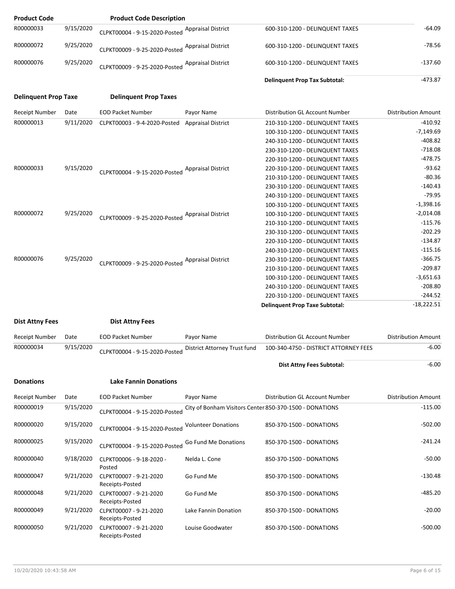| <b>Product Code</b>         |           | <b>Product Code Description</b>                  |                            |                                                                    |                            |
|-----------------------------|-----------|--------------------------------------------------|----------------------------|--------------------------------------------------------------------|----------------------------|
| R00000033                   | 9/15/2020 | CLPKT00004 - 9-15-2020-Posted                    | <b>Appraisal District</b>  | 600-310-1200 - DELINQUENT TAXES                                    | $-64.09$                   |
| R00000072                   | 9/25/2020 | CLPKT00009 - 9-25-2020-Posted                    | <b>Appraisal District</b>  | 600-310-1200 - DELINQUENT TAXES                                    | $-78.56$                   |
| R00000076                   | 9/25/2020 | CLPKT00009 - 9-25-2020-Posted                    | <b>Appraisal District</b>  | 600-310-1200 - DELINQUENT TAXES                                    | $-137.60$                  |
|                             |           |                                                  |                            | <b>Delinquent Prop Tax Subtotal:</b>                               | $-473.87$                  |
| <b>Delinquent Prop Taxe</b> |           | <b>Delinquent Prop Taxes</b>                     |                            |                                                                    |                            |
| Receipt Number              | Date      | <b>EOD Packet Number</b>                         | Payor Name                 | Distribution GL Account Number                                     | <b>Distribution Amount</b> |
| R00000013                   | 9/11/2020 | CLPKT00003 - 9-4-2020-Posted                     | <b>Appraisal District</b>  | 210-310-1200 - DELINQUENT TAXES                                    | $-410.92$                  |
|                             |           |                                                  |                            | 100-310-1200 - DELINQUENT TAXES                                    | $-7,149.69$                |
|                             |           |                                                  |                            | 240-310-1200 - DELINQUENT TAXES                                    | $-408.82$                  |
|                             |           |                                                  |                            | 230-310-1200 - DELINQUENT TAXES                                    | $-718.08$                  |
|                             |           |                                                  |                            | 220-310-1200 - DELINQUENT TAXES                                    | $-478.75$                  |
| R00000033                   | 9/15/2020 |                                                  |                            | 220-310-1200 - DELINQUENT TAXES                                    | $-93.62$                   |
|                             |           | CLPKT00004 - 9-15-2020-Posted Appraisal District |                            | 210-310-1200 - DELINQUENT TAXES                                    | $-80.36$                   |
|                             |           |                                                  |                            | 230-310-1200 - DELINQUENT TAXES                                    | $-140.43$                  |
|                             |           |                                                  |                            | 240-310-1200 - DELINQUENT TAXES                                    | $-79.95$                   |
|                             |           |                                                  |                            | 100-310-1200 - DELINQUENT TAXES                                    | $-1,398.16$                |
| R00000072                   | 9/25/2020 |                                                  |                            | 100-310-1200 - DELINQUENT TAXES                                    | $-2,014.08$                |
|                             |           | CLPKT00009 - 9-25-2020-Posted Appraisal District |                            |                                                                    | $-115.76$                  |
|                             |           |                                                  |                            | 210-310-1200 - DELINQUENT TAXES                                    | $-202.29$                  |
|                             |           |                                                  |                            | 230-310-1200 - DELINQUENT TAXES                                    | $-134.87$                  |
|                             |           |                                                  |                            | 220-310-1200 - DELINQUENT TAXES                                    |                            |
|                             |           |                                                  |                            | 240-310-1200 - DELINQUENT TAXES                                    | $-115.16$                  |
| R00000076                   | 9/25/2020 | CLPKT00009 - 9-25-2020-Posted                    | <b>Appraisal District</b>  | 230-310-1200 - DELINQUENT TAXES                                    | $-366.75$                  |
|                             |           |                                                  |                            | 210-310-1200 - DELINQUENT TAXES                                    | $-209.87$                  |
|                             |           |                                                  |                            | 100-310-1200 - DELINQUENT TAXES                                    | $-3,651.63$                |
|                             |           |                                                  |                            | 240-310-1200 - DELINQUENT TAXES                                    | $-208.80$                  |
|                             |           |                                                  |                            | 220-310-1200 - DELINQUENT TAXES                                    | $-244.52$                  |
|                             |           |                                                  |                            | <b>Delinquent Prop Taxe Subtotal:</b>                              | $-18,222.51$               |
| <b>Dist Attny Fees</b>      |           | <b>Dist Attny Fees</b>                           |                            |                                                                    |                            |
| Receipt Number              | Date      | <b>EOD Packet Number</b>                         | Payor Name                 | Distribution GL Account Number                                     | <b>Distribution Amount</b> |
| R00000034                   | 9/15/2020 | CLPKT00004 - 9-15-2020-Posted                    |                            | District Attorney Trust fund 100-340-4750 - DISTRICT ATTORNEY FEES | -6.00                      |
|                             |           |                                                  |                            | Dist Attny Fees Subtotal:                                          | $-6.00$                    |
|                             |           |                                                  |                            |                                                                    |                            |
| <b>Donations</b>            |           | <b>Lake Fannin Donations</b>                     |                            |                                                                    |                            |
| Receipt Number              | Date      | <b>EOD Packet Number</b>                         | Payor Name                 | Distribution GL Account Number                                     | <b>Distribution Amount</b> |
| R00000019                   | 9/15/2020 | CLPKT00004 - 9-15-2020-Posted                    |                            | City of Bonham Visitors Center 850-370-1500 - DONATIONS            | $-115.00$                  |
| R00000020                   | 9/15/2020 | CLPKT00004 - 9-15-2020-Posted                    | <b>Volunteer Donations</b> | 850-370-1500 - DONATIONS                                           | $-502.00$                  |
| R00000025                   | 9/15/2020 | CLPKT00004 - 9-15-2020-Posted                    | Go Fund Me Donations       | 850-370-1500 - DONATIONS                                           | $-241.24$                  |
| R00000040                   | 9/18/2020 | CLPKT00006 - 9-18-2020 -<br>Posted               | Nelda L. Cone              | 850-370-1500 - DONATIONS                                           | $-50.00$                   |
| R00000047                   | 9/21/2020 | CLPKT00007 - 9-21-2020<br>Receipts-Posted        | Go Fund Me                 | 850-370-1500 - DONATIONS                                           | $-130.48$                  |
| R00000048                   | 9/21/2020 | CLPKT00007 - 9-21-2020<br>Receipts-Posted        | Go Fund Me                 | 850-370-1500 - DONATIONS                                           | $-485.20$                  |
| R00000049                   | 9/21/2020 | CLPKT00007 - 9-21-2020<br>Receipts-Posted        | Lake Fannin Donation       | 850-370-1500 - DONATIONS                                           | $-20.00$                   |
| R00000050                   | 9/21/2020 | CLPKT00007 - 9-21-2020<br>Receipts-Posted        | Louise Goodwater           | 850-370-1500 - DONATIONS                                           | $-500.00$                  |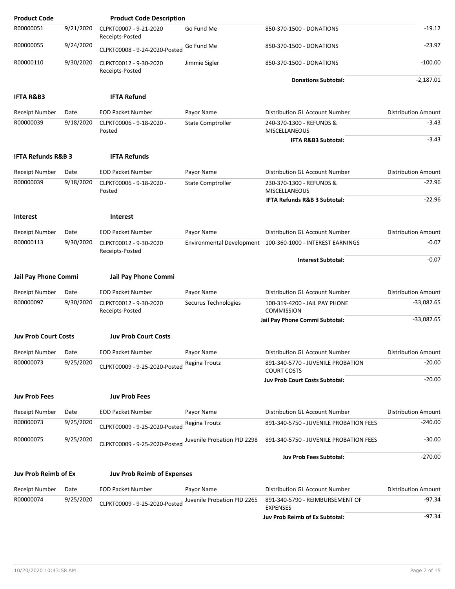| <b>Product Code</b>           |           | <b>Product Code Description</b>           |                             |                                                            |                            |
|-------------------------------|-----------|-------------------------------------------|-----------------------------|------------------------------------------------------------|----------------------------|
| R00000051                     | 9/21/2020 | CLPKT00007 - 9-21-2020<br>Receipts-Posted | Go Fund Me                  | 850-370-1500 - DONATIONS                                   | $-19.12$                   |
| R00000055                     | 9/24/2020 | CLPKT00008 - 9-24-2020-Posted             | Go Fund Me                  | 850-370-1500 - DONATIONS                                   | $-23.97$                   |
| R00000110                     | 9/30/2020 | CLPKT00012 - 9-30-2020<br>Receipts-Posted | Jimmie Sigler               | 850-370-1500 - DONATIONS                                   | $-100.00$                  |
|                               |           |                                           |                             | <b>Donations Subtotal:</b>                                 | $-2,187.01$                |
| <b>IFTA R&amp;B3</b>          |           | <b>IFTA Refund</b>                        |                             |                                                            |                            |
| Receipt Number                | Date      | <b>EOD Packet Number</b>                  | Payor Name                  | <b>Distribution GL Account Number</b>                      | <b>Distribution Amount</b> |
| R00000039                     | 9/18/2020 | CLPKT00006 - 9-18-2020 -<br>Posted        | <b>State Comptroller</b>    | 240-370-1300 - REFUNDS &<br>MISCELLANEOUS                  | $-3.43$                    |
|                               |           |                                           |                             | IFTA R&B3 Subtotal:                                        | $-3.43$                    |
| <b>IFTA Refunds R&amp;B 3</b> |           | <b>IFTA Refunds</b>                       |                             |                                                            |                            |
| Receipt Number                | Date      | <b>EOD Packet Number</b>                  | Payor Name                  | Distribution GL Account Number                             | <b>Distribution Amount</b> |
| R00000039                     | 9/18/2020 | CLPKT00006 - 9-18-2020 -<br>Posted        | <b>State Comptroller</b>    | 230-370-1300 - REFUNDS &<br><b>MISCELLANEOUS</b>           | $-22.96$                   |
|                               |           |                                           |                             | IFTA Refunds R&B 3 Subtotal:                               | $-22.96$                   |
| <b>Interest</b>               |           | <b>Interest</b>                           |                             |                                                            |                            |
| Receipt Number                | Date      | <b>EOD Packet Number</b>                  | Payor Name                  | Distribution GL Account Number                             | <b>Distribution Amount</b> |
| R00000113                     | 9/30/2020 | CLPKT00012 - 9-30-2020<br>Receipts-Posted |                             | Environmental Development 100-360-1000 - INTEREST EARNINGS | $-0.07$                    |
|                               |           |                                           |                             | <b>Interest Subtotal:</b>                                  | $-0.07$                    |
| <b>Jail Pay Phone Commi</b>   |           |                                           |                             |                                                            |                            |
|                               |           | Jail Pay Phone Commi                      |                             |                                                            |                            |
| Receipt Number                | Date      | <b>EOD Packet Number</b>                  | Payor Name                  | Distribution GL Account Number                             | <b>Distribution Amount</b> |
| R00000097                     | 9/30/2020 | CLPKT00012 - 9-30-2020<br>Receipts-Posted | Securus Technologies        | 100-319-4200 - JAIL PAY PHONE<br><b>COMMISSION</b>         | $-33,082.65$               |
|                               |           |                                           |                             | Jail Pay Phone Commi Subtotal:                             | $-33,082.65$               |
| <b>Juv Prob Court Costs</b>   |           | <b>Juv Prob Court Costs</b>               |                             |                                                            |                            |
| Receipt Number                | Date      | <b>EOD Packet Number</b>                  | Payor Name                  | Distribution GL Account Number                             | <b>Distribution Amount</b> |
| R00000073                     | 9/25/2020 | CLPKT00009 - 9-25-2020-Posted             | Regina Troutz               | 891-340-5770 - JUVENILE PROBATION<br><b>COURT COSTS</b>    | $-20.00$                   |
|                               |           |                                           |                             | <b>Juv Prob Court Costs Subtotal:</b>                      | $-20.00$                   |
| <b>Juv Prob Fees</b>          |           | <b>Juv Prob Fees</b>                      |                             |                                                            |                            |
| Receipt Number                | Date      | <b>EOD Packet Number</b>                  | Payor Name                  | Distribution GL Account Number                             | <b>Distribution Amount</b> |
| R00000073                     | 9/25/2020 | CLPKT00009 - 9-25-2020-Posted             | Regina Troutz               | 891-340-5750 - JUVENILE PROBATION FEES                     | $-240.00$                  |
| R00000075                     | 9/25/2020 | CLPKT00009 - 9-25-2020-Posted             | Juvenile Probation PID 2298 | 891-340-5750 - JUVENILE PROBATION FEES                     | $-30.00$                   |
|                               |           |                                           |                             | <b>Juv Prob Fees Subtotal:</b>                             | $-270.00$                  |
| Juv Prob Reimb of Ex          |           | <b>Juv Prob Reimb of Expenses</b>         |                             |                                                            |                            |
| Receipt Number                | Date      | <b>EOD Packet Number</b>                  | Payor Name                  | Distribution GL Account Number                             | <b>Distribution Amount</b> |
| R00000074                     | 9/25/2020 | CLPKT00009 - 9-25-2020-Posted             | Juvenile Probation PID 2265 | 891-340-5790 - REIMBURSEMENT OF<br><b>EXPENSES</b>         | $-97.34$                   |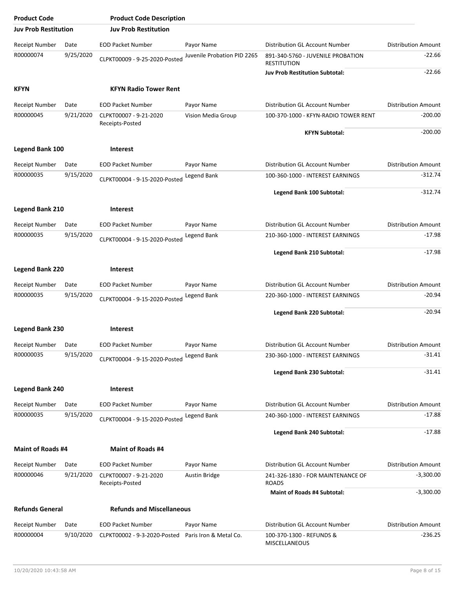| <b>Product Code</b>         |           | <b>Product Code Description</b>           |                             |                                                         |                            |
|-----------------------------|-----------|-------------------------------------------|-----------------------------|---------------------------------------------------------|----------------------------|
| <b>Juv Prob Restitution</b> |           | <b>Juv Prob Restitution</b>               |                             |                                                         |                            |
| <b>Receipt Number</b>       | Date      | <b>EOD Packet Number</b>                  | Payor Name                  | Distribution GL Account Number                          | <b>Distribution Amount</b> |
| R00000074                   | 9/25/2020 | CLPKT00009 - 9-25-2020-Posted             | Juvenile Probation PID 2265 | 891-340-5760 - JUVENILE PROBATION<br><b>RESTITUTION</b> | $-22.66$                   |
|                             |           |                                           |                             | <b>Juv Prob Restitution Subtotal:</b>                   | $-22.66$                   |
| <b>KFYN</b>                 |           | <b>KFYN Radio Tower Rent</b>              |                             |                                                         |                            |
| Receipt Number              | Date      | <b>EOD Packet Number</b>                  | Payor Name                  | Distribution GL Account Number                          | <b>Distribution Amount</b> |
| R00000045                   | 9/21/2020 | CLPKT00007 - 9-21-2020                    | Vision Media Group          | 100-370-1000 - KFYN-RADIO TOWER RENT                    | $-200.00$                  |
|                             |           | Receipts-Posted                           |                             | <b>KFYN Subtotal:</b>                                   | $-200.00$                  |
| <b>Legend Bank 100</b>      |           | <b>Interest</b>                           |                             |                                                         |                            |
| <b>Receipt Number</b>       | Date      | <b>EOD Packet Number</b>                  | Payor Name                  | Distribution GL Account Number                          | <b>Distribution Amount</b> |
| R00000035                   | 9/15/2020 |                                           | Legend Bank                 | 100-360-1000 - INTEREST EARNINGS                        | $-312.74$                  |
|                             |           | CLPKT00004 - 9-15-2020-Posted             |                             | Legend Bank 100 Subtotal:                               | $-312.74$                  |
|                             |           |                                           |                             |                                                         |                            |
| <b>Legend Bank 210</b>      |           | <b>Interest</b>                           |                             |                                                         |                            |
| <b>Receipt Number</b>       | Date      | <b>EOD Packet Number</b>                  | Payor Name                  | <b>Distribution GL Account Number</b>                   | <b>Distribution Amount</b> |
| R00000035                   | 9/15/2020 | CLPKT00004 - 9-15-2020-Posted             | Legend Bank                 | 210-360-1000 - INTEREST EARNINGS                        | $-17.98$                   |
|                             |           |                                           |                             | Legend Bank 210 Subtotal:                               | $-17.98$                   |
| <b>Legend Bank 220</b>      |           | <b>Interest</b>                           |                             |                                                         |                            |
| <b>Receipt Number</b>       | Date      | <b>EOD Packet Number</b>                  | Payor Name                  | Distribution GL Account Number                          | <b>Distribution Amount</b> |
| R00000035                   | 9/15/2020 | CLPKT00004 - 9-15-2020-Posted             | Legend Bank                 | 220-360-1000 - INTEREST EARNINGS                        | $-20.94$                   |
|                             |           |                                           |                             | Legend Bank 220 Subtotal:                               | $-20.94$                   |
|                             |           |                                           |                             |                                                         |                            |
| <b>Legend Bank 230</b>      |           | <b>Interest</b>                           |                             |                                                         |                            |
| Receipt Number              | Date      | EOD Packet Number                         | Payor Name                  | Distribution GL Account Number                          | Distribution Amount        |
| R00000035                   | 9/15/2020 | CLPKT00004 - 9-15-2020-Posted             | Legend Bank                 | 230-360-1000 - INTEREST EARNINGS                        | $-31.41$                   |
|                             |           |                                           |                             | Legend Bank 230 Subtotal:                               | $-31.41$                   |
| <b>Legend Bank 240</b>      |           | <b>Interest</b>                           |                             |                                                         |                            |
| Receipt Number              | Date      | <b>EOD Packet Number</b>                  | Payor Name                  | Distribution GL Account Number                          | <b>Distribution Amount</b> |
| R00000035                   | 9/15/2020 | CLPKT00004 - 9-15-2020-Posted             | Legend Bank                 | 240-360-1000 - INTEREST EARNINGS                        | $-17.88$                   |
|                             |           |                                           |                             | Legend Bank 240 Subtotal:                               | $-17.88$                   |
| <b>Maint of Roads #4</b>    |           | <b>Maint of Roads #4</b>                  |                             |                                                         |                            |
|                             |           |                                           |                             |                                                         |                            |
| Receipt Number              | Date      | <b>EOD Packet Number</b>                  | Payor Name                  | Distribution GL Account Number                          | <b>Distribution Amount</b> |
| R00000046                   | 9/21/2020 | CLPKT00007 - 9-21-2020<br>Receipts-Posted | Austin Bridge               | 241-326-1830 - FOR MAINTENANCE OF<br><b>ROADS</b>       | $-3,300.00$                |
|                             |           |                                           |                             | <b>Maint of Roads #4 Subtotal:</b>                      | $-3,300.00$                |
| <b>Refunds General</b>      |           | <b>Refunds and Miscellaneous</b>          |                             |                                                         |                            |
| Receipt Number              | Date      | <b>EOD Packet Number</b>                  | Payor Name                  | Distribution GL Account Number                          | <b>Distribution Amount</b> |
| R00000004                   | 9/10/2020 | CLPKT00002 - 9-3-2020-Posted              | Paris Iron & Metal Co.      | 100-370-1300 - REFUNDS &<br>MISCELLANEOUS               | -236.25                    |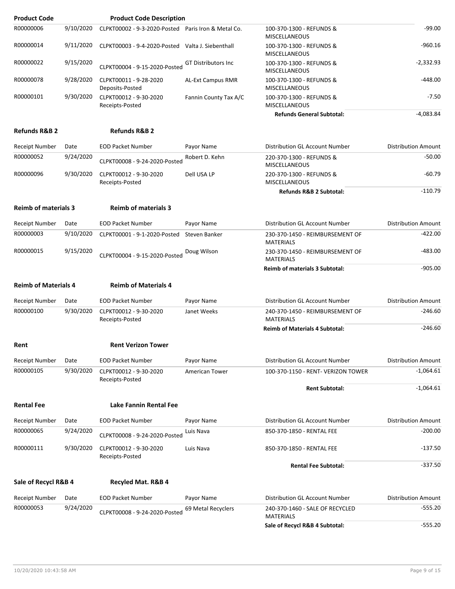| <b>Product Code</b>         |           | <b>Product Code Description</b>                     |                            |                                                     |                            |
|-----------------------------|-----------|-----------------------------------------------------|----------------------------|-----------------------------------------------------|----------------------------|
| R00000006                   | 9/10/2020 | CLPKT00002 - 9-3-2020-Posted Paris Iron & Metal Co. |                            | 100-370-1300 - REFUNDS &<br><b>MISCELLANEOUS</b>    | $-99.00$                   |
| R00000014                   | 9/11/2020 | CLPKT00003 - 9-4-2020-Posted Valta J. Siebenthall   |                            | 100-370-1300 - REFUNDS &<br><b>MISCELLANEOUS</b>    | $-960.16$                  |
| R00000022                   | 9/15/2020 | CLPKT00004 - 9-15-2020-Posted                       | <b>GT Distributors Inc</b> | 100-370-1300 - REFUNDS &<br>MISCELLANEOUS           | -2,332.93                  |
| R00000078                   | 9/28/2020 | CLPKT00011 - 9-28-2020<br>Deposits-Posted           | <b>AL-Ext Campus RMR</b>   | 100-370-1300 - REFUNDS &<br><b>MISCELLANEOUS</b>    | $-448.00$                  |
| R00000101                   | 9/30/2020 | CLPKT00012 - 9-30-2020<br>Receipts-Posted           | Fannin County Tax A/C      | 100-370-1300 - REFUNDS &<br><b>MISCELLANEOUS</b>    | $-7.50$                    |
|                             |           |                                                     |                            | <b>Refunds General Subtotal:</b>                    | $-4,083.84$                |
| <b>Refunds R&amp;B 2</b>    |           | <b>Refunds R&amp;B 2</b>                            |                            |                                                     |                            |
| Receipt Number              | Date      | <b>EOD Packet Number</b>                            | Payor Name                 | Distribution GL Account Number                      | <b>Distribution Amount</b> |
| R00000052                   | 9/24/2020 | CLPKT00008 - 9-24-2020-Posted                       | Robert D. Kehn             | 220-370-1300 - REFUNDS &<br><b>MISCELLANEOUS</b>    | $-50.00$                   |
| R00000096                   | 9/30/2020 | CLPKT00012 - 9-30-2020<br>Receipts-Posted           | Dell USA LP                | 220-370-1300 - REFUNDS &<br><b>MISCELLANEOUS</b>    | $-60.79$                   |
|                             |           |                                                     |                            | <b>Refunds R&amp;B 2 Subtotal:</b>                  | $-110.79$                  |
| <b>Reimb of materials 3</b> |           | <b>Reimb of materials 3</b>                         |                            |                                                     |                            |
| Receipt Number              | Date      | <b>EOD Packet Number</b>                            | Payor Name                 | Distribution GL Account Number                      | <b>Distribution Amount</b> |
| R00000003                   | 9/10/2020 | CLPKT00001 - 9-1-2020-Posted                        | Steven Banker              | 230-370-1450 - REIMBURSEMENT OF<br><b>MATERIALS</b> | $-422.00$                  |
| R00000015                   | 9/15/2020 | CLPKT00004 - 9-15-2020-Posted                       | Doug Wilson                | 230-370-1450 - REIMBURSEMENT OF<br><b>MATERIALS</b> | -483.00                    |
|                             |           |                                                     |                            | <b>Reimb of materials 3 Subtotal:</b>               | $-905.00$                  |
|                             |           |                                                     |                            |                                                     |                            |
| <b>Reimb of Materials 4</b> |           | <b>Reimb of Materials 4</b>                         |                            |                                                     |                            |
| <b>Receipt Number</b>       | Date      | <b>EOD Packet Number</b>                            | Payor Name                 | Distribution GL Account Number                      | <b>Distribution Amount</b> |
| R00000100                   | 9/30/2020 | CLPKT00012 - 9-30-2020<br>Receipts-Posted           | Janet Weeks                | 240-370-1450 - REIMBURSEMENT OF<br><b>MATERIALS</b> | $-246.60$                  |
|                             |           |                                                     |                            | <b>Reimb of Materials 4 Subtotal:</b>               | $-246.60$                  |
| Rent                        |           | <b>Rent Verizon Tower</b>                           |                            |                                                     |                            |
| Receipt Number              | Date      | <b>EOD Packet Number</b>                            | Payor Name                 | Distribution GL Account Number                      | <b>Distribution Amount</b> |
| R00000105                   | 9/30/2020 | CLPKT00012 - 9-30-2020<br>Receipts-Posted           | American Tower             | 100-370-1150 - RENT- VERIZON TOWER                  | $-1,064.61$                |
|                             |           |                                                     |                            | <b>Rent Subtotal:</b>                               | $-1,064.61$                |
| <b>Rental Fee</b>           |           | Lake Fannin Rental Fee                              |                            |                                                     |                            |
| Receipt Number              | Date      | <b>EOD Packet Number</b>                            | Payor Name                 | Distribution GL Account Number                      | <b>Distribution Amount</b> |
| R00000065                   | 9/24/2020 | CLPKT00008 - 9-24-2020-Posted                       | Luis Nava                  | 850-370-1850 - RENTAL FEE                           | $-200.00$                  |
| R00000111                   | 9/30/2020 | CLPKT00012 - 9-30-2020<br>Receipts-Posted           | Luis Nava                  | 850-370-1850 - RENTAL FEE                           | $-137.50$                  |
|                             |           |                                                     |                            | <b>Rental Fee Subtotal:</b>                         | $-337.50$                  |
| Sale of Recycl R&B 4        |           | <b>Recyled Mat. R&amp;B 4</b>                       |                            |                                                     |                            |
| Receipt Number              | Date      | <b>EOD Packet Number</b>                            | Payor Name                 | Distribution GL Account Number                      | <b>Distribution Amount</b> |
| R00000053                   | 9/24/2020 | CLPKT00008 - 9-24-2020-Posted                       | 69 Metal Recyclers         | 240-370-1460 - SALE OF RECYCLED<br><b>MATERIALS</b> | -555.20                    |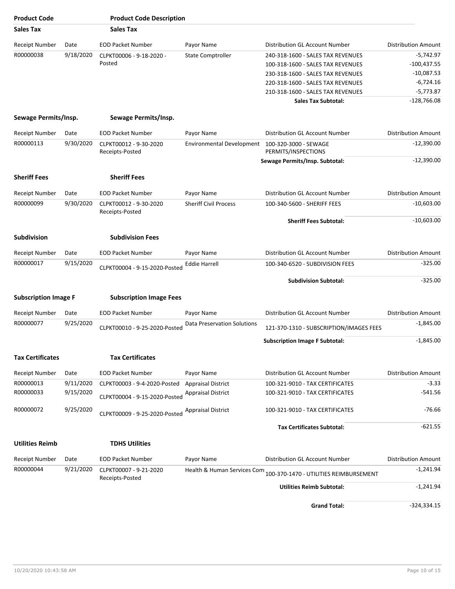| <b>Product Code</b>         |                                           | <b>Product Code Description</b>           |                                  |                                                                    |                            |
|-----------------------------|-------------------------------------------|-------------------------------------------|----------------------------------|--------------------------------------------------------------------|----------------------------|
| <b>Sales Tax</b>            |                                           | <b>Sales Tax</b>                          |                                  |                                                                    |                            |
| <b>Receipt Number</b>       | Date                                      | <b>EOD Packet Number</b>                  | Payor Name                       | Distribution GL Account Number                                     | <b>Distribution Amount</b> |
| R00000038                   | 9/18/2020                                 | CLPKT00006 - 9-18-2020 -                  | <b>State Comptroller</b>         | 240-318-1600 - SALES TAX REVENUES                                  | $-5,742.97$                |
|                             |                                           | Posted                                    |                                  | 100-318-1600 - SALES TAX REVENUES                                  | $-100,437.55$              |
|                             |                                           |                                           |                                  | 230-318-1600 - SALES TAX REVENUES                                  | $-10,087.53$               |
|                             |                                           |                                           |                                  | 220-318-1600 - SALES TAX REVENUES                                  | $-6,724.16$                |
|                             |                                           |                                           |                                  | 210-318-1600 - SALES TAX REVENUES                                  | $-5,773.87$                |
|                             |                                           |                                           |                                  | <b>Sales Tax Subtotal:</b>                                         | $-128,766.08$              |
| Sewage Permits/Insp.        |                                           | Sewage Permits/Insp.                      |                                  |                                                                    |                            |
|                             |                                           |                                           |                                  |                                                                    |                            |
| <b>Receipt Number</b>       | Date                                      | <b>EOD Packet Number</b>                  | Payor Name                       | Distribution GL Account Number                                     | <b>Distribution Amount</b> |
| R00000113                   | 9/30/2020                                 | CLPKT00012 - 9-30-2020<br>Receipts-Posted | <b>Environmental Development</b> | 100-320-3000 - SEWAGE<br>PERMITS/INSPECTIONS                       | $-12,390.00$               |
|                             |                                           |                                           |                                  | Sewage Permits/Insp. Subtotal:                                     | $-12,390.00$               |
| <b>Sheriff Fees</b>         |                                           | <b>Sheriff Fees</b>                       |                                  |                                                                    |                            |
| Receipt Number              | Date                                      | <b>EOD Packet Number</b>                  | Payor Name                       | Distribution GL Account Number                                     | <b>Distribution Amount</b> |
| R00000099<br>9/30/2020      | CLPKT00012 - 9-30-2020<br>Receipts-Posted | <b>Sheriff Civil Process</b>              | 100-340-5600 - SHERIFF FEES      | $-10,603.00$                                                       |                            |
|                             |                                           |                                           |                                  | <b>Sheriff Fees Subtotal:</b>                                      | $-10,603.00$               |
| <b>Subdivision</b>          |                                           | <b>Subdivision Fees</b>                   |                                  |                                                                    |                            |
| <b>Receipt Number</b>       | Date                                      | <b>EOD Packet Number</b>                  | Payor Name                       | Distribution GL Account Number                                     | <b>Distribution Amount</b> |
| R00000017                   | 9/15/2020                                 | CLPKT00004 - 9-15-2020-Posted             | <b>Eddie Harrell</b>             | 100-340-6520 - SUBDIVISION FEES                                    | $-325.00$                  |
|                             |                                           |                                           |                                  | <b>Subdivision Subtotal:</b>                                       | $-325.00$                  |
| <b>Subscription Image F</b> |                                           | <b>Subscription Image Fees</b>            |                                  |                                                                    |                            |
| <b>Receipt Number</b>       | Date                                      | <b>EOD Packet Number</b>                  | Payor Name                       | Distribution GL Account Number                                     | <b>Distribution Amount</b> |
| R00000077                   | 9/25/2020                                 | CLPKT00010 - 9-25-2020-Posted             | Data Preservation Solutions      | 121-370-1310 - SUBSCRIPTION/IMAGES FEES                            | $-1,845.00$                |
|                             |                                           |                                           |                                  | <b>Subscription Image F Subtotal:</b>                              | $-1,845.00$                |
| <b>Tax Certificates</b>     |                                           | <b>Tax Certificates</b>                   |                                  |                                                                    |                            |
| <b>Receipt Number</b>       | Date                                      | <b>EOD Packet Number</b>                  | Payor Name                       | Distribution GL Account Number                                     | <b>Distribution Amount</b> |
| R00000013                   | 9/11/2020                                 | CLPKT00003 - 9-4-2020-Posted              | <b>Appraisal District</b>        | 100-321-9010 - TAX CERTIFICATES                                    | $-3.33$                    |
| R00000033                   | 9/15/2020                                 | CLPKT00004 - 9-15-2020-Posted             | <b>Appraisal District</b>        | 100-321-9010 - TAX CERTIFICATES                                    | -541.56                    |
| R00000072                   | 9/25/2020                                 | CLPKT00009 - 9-25-2020-Posted             | <b>Appraisal District</b>        | 100-321-9010 - TAX CERTIFICATES                                    | $-76.66$                   |
|                             |                                           |                                           |                                  | <b>Tax Certificates Subtotal:</b>                                  | $-621.55$                  |
| <b>Utilities Reimb</b>      |                                           | <b>TDHS Utilities</b>                     |                                  |                                                                    |                            |
| <b>Receipt Number</b>       | Date                                      | <b>EOD Packet Number</b>                  | Payor Name                       | Distribution GL Account Number                                     | <b>Distribution Amount</b> |
| R00000044                   | 9/21/2020                                 | CLPKT00007 - 9-21-2020<br>Receipts-Posted |                                  | Health & Human Services Com 100-370-1470 - UTILITIES REIMBURSEMENT | $-1,241.94$                |
|                             |                                           |                                           |                                  | <b>Utilities Reimb Subtotal:</b>                                   | $-1,241.94$                |
|                             |                                           |                                           |                                  | <b>Grand Total:</b>                                                | $-324,334.15$              |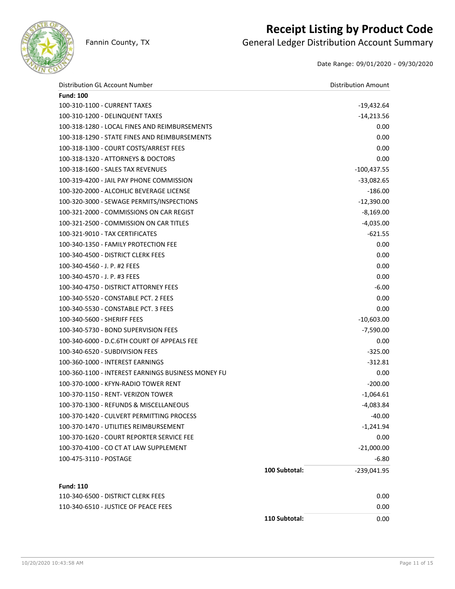

### **Receipt Listing by Product Code**

Fannin County, TX **General Ledger Distribution Account Summary** 

Date Range: 09/01/2020 - 09/30/2020

| Distribution GL Account Number                     |               | <b>Distribution Amount</b> |
|----------------------------------------------------|---------------|----------------------------|
| <b>Fund: 100</b>                                   |               |                            |
| 100-310-1100 - CURRENT TAXES                       |               | $-19,432.64$               |
| 100-310-1200 - DELINQUENT TAXES                    |               | $-14,213.56$               |
| 100-318-1280 - LOCAL FINES AND REIMBURSEMENTS      |               | 0.00                       |
| 100-318-1290 - STATE FINES AND REIMBURSEMENTS      |               | 0.00                       |
| 100-318-1300 - COURT COSTS/ARREST FEES             |               | 0.00                       |
| 100-318-1320 - ATTORNEYS & DOCTORS                 |               | 0.00                       |
| 100-318-1600 - SALES TAX REVENUES                  |               | $-100,437.55$              |
| 100-319-4200 - JAIL PAY PHONE COMMISSION           |               | $-33,082.65$               |
| 100-320-2000 - ALCOHLIC BEVERAGE LICENSE           |               | $-186.00$                  |
| 100-320-3000 - SEWAGE PERMITS/INSPECTIONS          |               | $-12,390.00$               |
| 100-321-2000 - COMMISSIONS ON CAR REGIST           |               | $-8,169.00$                |
| 100-321-2500 - COMMISSION ON CAR TITLES            |               | $-4,035.00$                |
| 100-321-9010 - TAX CERTIFICATES                    |               | $-621.55$                  |
| 100-340-1350 - FAMILY PROTECTION FEE               |               | 0.00                       |
| 100-340-4500 - DISTRICT CLERK FEES                 |               | 0.00                       |
| 100-340-4560 - J. P. #2 FEES                       |               | 0.00                       |
| 100-340-4570 - J. P. #3 FEES                       |               | 0.00                       |
| 100-340-4750 - DISTRICT ATTORNEY FEES              |               | $-6.00$                    |
| 100-340-5520 - CONSTABLE PCT. 2 FEES               |               | 0.00                       |
| 100-340-5530 - CONSTABLE PCT. 3 FEES               |               | 0.00                       |
| 100-340-5600 - SHERIFF FEES                        |               | $-10,603.00$               |
| 100-340-5730 - BOND SUPERVISION FEES               |               | $-7,590.00$                |
| 100-340-6000 - D.C.6TH COURT OF APPEALS FEE        |               | 0.00                       |
| 100-340-6520 - SUBDIVISION FEES                    |               | $-325.00$                  |
| 100-360-1000 - INTEREST EARNINGS                   |               | $-312.81$                  |
| 100-360-1100 - INTEREST EARNINGS BUSINESS MONEY FU |               | 0.00                       |
| 100-370-1000 - KFYN-RADIO TOWER RENT               |               | $-200.00$                  |
| 100-370-1150 - RENT- VERIZON TOWER                 |               | $-1,064.61$                |
| 100-370-1300 - REFUNDS & MISCELLANEOUS             |               | $-4,083.84$                |
| 100-370-1420 - CULVERT PERMITTING PROCESS          |               | $-40.00$                   |
| 100-370-1470 - UTILITIES REIMBURSEMENT             |               | $-1,241.94$                |
| 100-370-1620 - COURT REPORTER SERVICE FEE          |               | 0.00                       |
| 100-370-4100 - CO CT AT LAW SUPPLEMENT             |               | $-21,000.00$               |
| 100-475-3110 - POSTAGE                             |               | $-6.80$                    |
|                                                    | 100 Subtotal: | $-239,041.95$              |
| <b>Fund: 110</b>                                   |               |                            |
| 110-340-6500 - DISTRICT CLERK FEES                 |               | 0.00                       |
| 110-340-6510 - JUSTICE OF PEACE FEES               |               | 0.00                       |
|                                                    | 110 Subtotal: | 0.00                       |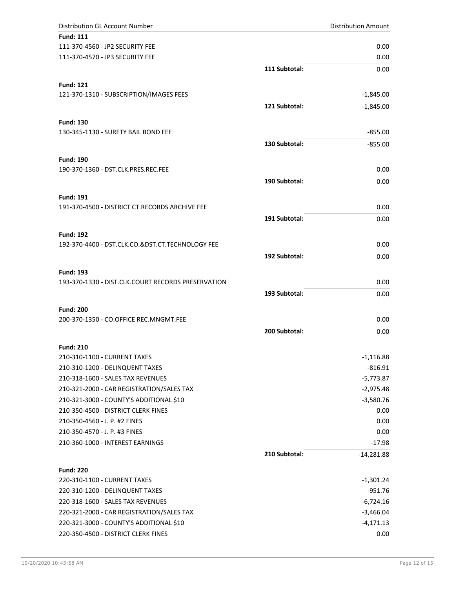| Distribution GL Account Number                   |               | <b>Distribution Amount</b> |
|--------------------------------------------------|---------------|----------------------------|
| <b>Fund: 111</b>                                 |               |                            |
| 111-370-4560 - JP2 SECURITY FEE                  |               | 0.00                       |
| 111-370-4570 - JP3 SECURITY FEE                  |               | 0.00                       |
|                                                  | 111 Subtotal: | 0.00                       |
| <b>Fund: 121</b>                                 |               |                            |
| 121-370-1310 - SUBSCRIPTION/IMAGES FEES          |               | $-1,845.00$                |
|                                                  | 121 Subtotal: | $-1,845.00$                |
| <b>Fund: 130</b>                                 |               |                            |
| 130-345-1130 - SURETY BAIL BOND FEE              |               | $-855.00$                  |
|                                                  | 130 Subtotal: | $-855.00$                  |
| <b>Fund: 190</b>                                 |               |                            |
| 190-370-1360 - DST.CLK.PRES.REC.FEE              |               | 0.00                       |
|                                                  | 190 Subtotal: | 0.00                       |
| <b>Fund: 191</b>                                 |               |                            |
| 191-370-4500 - DISTRICT CT.RECORDS ARCHIVE FEE   |               | 0.00                       |
|                                                  | 191 Subtotal: | 0.00                       |
| <b>Fund: 192</b>                                 |               |                            |
| 192-370-4400 - DST.CLK.CO.&DST.CT.TECHNOLOGY FEE |               | 0.00                       |
|                                                  | 192 Subtotal: | 0.00                       |

**Fund: 193** 193-370-1330 - DIST.CLK.COURT RECORDS PRESERVATION 0.00

| <b>Fund: 200</b>                       |      |
|----------------------------------------|------|
| 200-370-1350 - CO.OFFICE REC.MNGMT.FEE | 0.00 |

| <b>Fund: 210</b>                          |                               |             |
|-------------------------------------------|-------------------------------|-------------|
| 210-310-1100 - CURRENT TAXES              |                               | $-1,116.88$ |
| 210-310-1200 - DELINQUENT TAXES           |                               | $-816.91$   |
| 210-318-1600 - SALES TAX REVENUES         |                               | $-5,773.87$ |
| 210-321-2000 - CAR REGISTRATION/SALES TAX |                               | $-2,975.48$ |
| 210-321-3000 - COUNTY'S ADDITIONAL \$10   |                               | $-3,580.76$ |
| 210-350-4500 - DISTRICT CLERK FINES       |                               | 0.00        |
| 210-350-4560 - J. P. #2 FINES             |                               | 0.00        |
| 210-350-4570 - J. P. #3 FINES             |                               | 0.00        |
| 210-360-1000 - INTEREST EARNINGS          |                               | $-17.98$    |
|                                           | 210 Subtotal:<br>$-14.281.88$ |             |

| <b>Fund: 220</b>                          |             |
|-------------------------------------------|-------------|
| 220-310-1100 - CURRENT TAXES              | -1,301.24   |
| 220-310-1200 - DELINQUENT TAXES           | $-951.76$   |
| 220-318-1600 - SALES TAX REVENUES         | -6,724.16   |
| 220-321-2000 - CAR REGISTRATION/SALES TAX | -3,466.04   |
| 220-321-3000 - COUNTY'S ADDITIONAL \$10   | $-4,171.13$ |
| 220-350-4500 - DISTRICT CLERK FINES       | 0.00        |

**193 Subtotal:** 0.00

**200 Subtotal:** 0.00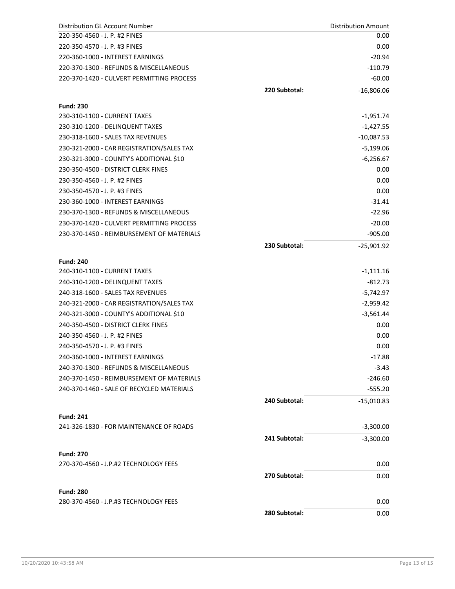| Distribution GL Account Number                                                       |               | <b>Distribution Amount</b>  |
|--------------------------------------------------------------------------------------|---------------|-----------------------------|
| 220-350-4560 - J. P. #2 FINES                                                        |               | 0.00                        |
| 220-350-4570 - J. P. #3 FINES                                                        |               | 0.00                        |
| 220-360-1000 - INTEREST EARNINGS                                                     |               | $-20.94$                    |
| 220-370-1300 - REFUNDS & MISCELLANEOUS                                               |               | $-110.79$                   |
| 220-370-1420 - CULVERT PERMITTING PROCESS                                            |               | $-60.00$                    |
|                                                                                      | 220 Subtotal: | $-16,806.06$                |
| <b>Fund: 230</b>                                                                     |               |                             |
| 230-310-1100 - CURRENT TAXES                                                         |               | -1,951.74                   |
| 230-310-1200 - DELINQUENT TAXES                                                      |               |                             |
| 230-318-1600 - SALES TAX REVENUES                                                    |               | $-1,427.55$<br>$-10,087.53$ |
|                                                                                      |               |                             |
| 230-321-2000 - CAR REGISTRATION/SALES TAX<br>230-321-3000 - COUNTY'S ADDITIONAL \$10 |               | $-5,199.06$                 |
| 230-350-4500 - DISTRICT CLERK FINES                                                  |               | $-6,256.67$                 |
|                                                                                      |               | 0.00                        |
| 230-350-4560 - J. P. #2 FINES                                                        |               | 0.00                        |
| 230-350-4570 - J. P. #3 FINES                                                        |               | 0.00                        |
| 230-360-1000 - INTEREST EARNINGS                                                     |               | $-31.41$                    |
| 230-370-1300 - REFUNDS & MISCELLANEOUS                                               |               | $-22.96$                    |
| 230-370-1420 - CULVERT PERMITTING PROCESS                                            |               | $-20.00$                    |
| 230-370-1450 - REIMBURSEMENT OF MATERIALS                                            |               | $-905.00$                   |
|                                                                                      | 230 Subtotal: | $-25,901.92$                |
| <b>Fund: 240</b>                                                                     |               |                             |
| 240-310-1100 - CURRENT TAXES                                                         |               | $-1,111.16$                 |
| 240-310-1200 - DELINQUENT TAXES                                                      |               | $-812.73$                   |
| 240-318-1600 - SALES TAX REVENUES                                                    |               | $-5,742.97$                 |
| 240-321-2000 - CAR REGISTRATION/SALES TAX                                            |               | $-2,959.42$                 |
| 240-321-3000 - COUNTY'S ADDITIONAL \$10                                              |               | $-3,561.44$                 |
| 240-350-4500 - DISTRICT CLERK FINES                                                  |               | 0.00                        |
| 240-350-4560 - J. P. #2 FINES                                                        |               | 0.00                        |
| 240-350-4570 - J. P. #3 FINES                                                        |               | 0.00                        |
| 240-360-1000 - INTEREST EARNINGS                                                     |               | $-17.88$                    |
| 240-370-1300 - REFUNDS & MISCELLANEOUS                                               |               | $-3.43$                     |
| 240-370-1450 - REIMBURSEMENT OF MATERIALS                                            |               | $-246.60$                   |
| 240-370-1460 - SALE OF RECYCLED MATERIALS                                            |               | $-555.20$                   |
|                                                                                      | 240 Subtotal: | $-15,010.83$                |
| <b>Fund: 241</b>                                                                     |               |                             |
| 241-326-1830 - FOR MAINTENANCE OF ROADS                                              |               | $-3,300.00$                 |
|                                                                                      | 241 Subtotal: | $-3,300.00$                 |
|                                                                                      |               |                             |
| <b>Fund: 270</b>                                                                     |               |                             |
| 270-370-4560 - J.P.#2 TECHNOLOGY FEES                                                |               | 0.00                        |
|                                                                                      | 270 Subtotal: | 0.00                        |
| <b>Fund: 280</b>                                                                     |               |                             |
| 280-370-4560 - J.P.#3 TECHNOLOGY FEES                                                |               | 0.00                        |
|                                                                                      | 280 Subtotal: | 0.00                        |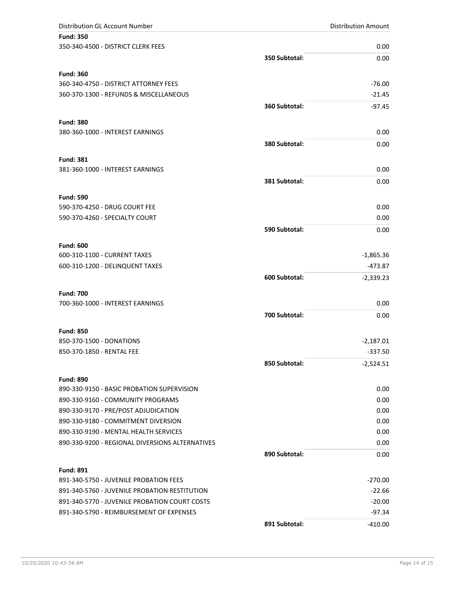| Distribution GL Account Number                        |               | <b>Distribution Amount</b> |
|-------------------------------------------------------|---------------|----------------------------|
| <b>Fund: 350</b>                                      |               |                            |
| 350-340-4500 - DISTRICT CLERK FEES                    |               | 0.00                       |
|                                                       | 350 Subtotal: | 0.00                       |
| <b>Fund: 360</b>                                      |               |                            |
| 360-340-4750 - DISTRICT ATTORNEY FEES                 |               | $-76.00$                   |
| 360-370-1300 - REFUNDS & MISCELLANEOUS                |               | $-21.45$                   |
|                                                       | 360 Subtotal: | $-97.45$                   |
| <b>Fund: 380</b>                                      |               |                            |
| 380-360-1000 - INTEREST EARNINGS                      |               | 0.00                       |
|                                                       | 380 Subtotal: | 0.00                       |
| <b>Fund: 381</b>                                      |               |                            |
| 381-360-1000 - INTEREST EARNINGS                      |               | 0.00                       |
|                                                       | 381 Subtotal: | 0.00                       |
|                                                       |               |                            |
| <b>Fund: 590</b>                                      |               |                            |
| 590-370-4250 - DRUG COURT FEE                         |               | 0.00                       |
| 590-370-4260 - SPECIALTY COURT                        |               | 0.00                       |
|                                                       | 590 Subtotal: | 0.00                       |
| <b>Fund: 600</b>                                      |               |                            |
| 600-310-1100 - CURRENT TAXES                          |               | $-1,865.36$                |
| 600-310-1200 - DELINQUENT TAXES                       |               | $-473.87$                  |
|                                                       | 600 Subtotal: | $-2,339.23$                |
| <b>Fund: 700</b>                                      |               |                            |
| 700-360-1000 - INTEREST EARNINGS                      |               | 0.00                       |
|                                                       | 700 Subtotal: | 0.00                       |
|                                                       |               |                            |
| <b>Fund: 850</b>                                      |               |                            |
| 850-370-1500 - DONATIONS<br>850-370-1850 - RENTAL FEE |               | $-2,187.01$<br>$-337.50$   |
|                                                       |               |                            |
|                                                       | 850 Subtotal: | $-2,524.51$                |
| <b>Fund: 890</b>                                      |               |                            |
| 890-330-9150 - BASIC PROBATION SUPERVISION            |               | 0.00                       |
| 890-330-9160 - COMMUNITY PROGRAMS                     |               | 0.00                       |
| 890-330-9170 - PRE/POST ADJUDICATION                  |               | 0.00                       |
| 890-330-9180 - COMMITMENT DIVERSION                   |               | 0.00                       |
| 890-330-9190 - MENTAL HEALTH SERVICES                 |               | 0.00                       |
| 890-330-9200 - REGIONAL DIVERSIONS ALTERNATIVES       |               | 0.00                       |
|                                                       | 890 Subtotal: | 0.00                       |
| <b>Fund: 891</b>                                      |               |                            |
| 891-340-5750 - JUVENILE PROBATION FEES                |               | $-270.00$                  |
| 891-340-5760 - JUVENILE PROBATION RESTITUTION         |               | $-22.66$                   |
| 891-340-5770 - JUVENILE PROBATION COURT COSTS         |               | $-20.00$                   |
| 891-340-5790 - REIMBURSEMENT OF EXPENSES              |               | $-97.34$                   |
|                                                       | 891 Subtotal: | $-410.00$                  |